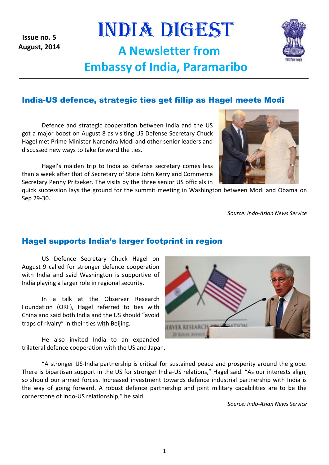1

**Issue no. 5 August, 2014**

# India-US defence, strategic ties get fillip as Hagel meets Modi

INDIA DIGEST

**A Newsletter from** 

**Embassy of India, Paramaribo**

Defence and strategic cooperation between India and the US got a major boost on August 8 as visiting US Defense Secretary Chuck Hagel met Prime Minister Narendra Modi and other senior leaders and discussed new ways to take forward the ties.

Hagel's maiden trip to India as defense secretary comes less than a week after that of Secretary of State John Kerry and Commerce Secretary Penny Pritzeker. The visits by the three senior US officials in

quick succession lays the ground for the summit meeting in Washington between Modi and Obama on Sep 29-30.

*Source: Indo-Asian News Service*

## Hagel supports India's larger footprint in region

US Defence Secretary Chuck Hagel on August 9 called for stronger defence cooperation with India and said Washington is supportive of India playing a larger role in regional security.

In a talk at the Observer Research Foundation (ORF), Hagel referred to ties with China and said both India and the US should "avoid traps of rivalry" in their ties with Beijing.

He also invited India to an expanded trilateral defence cooperation with the US and Japan.

"A stronger US-India partnership is critical for sustained peace and prosperity around the globe. There is bipartisan support in the US for stronger India-US relations," Hagel said. "As our interests align, so should our armed forces. Increased investment towards defence industrial partnership with India is the way of going forward. A robust defence partnership and joint military capabilities are to be the cornerstone of Indo-US relationship," he said.

*Source: Indo-Asian News Service*





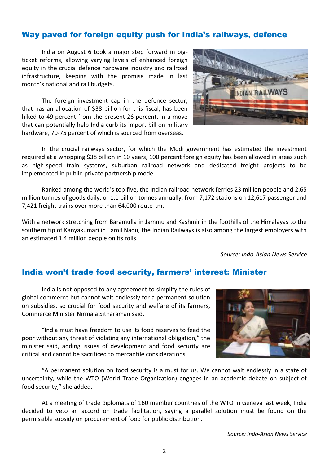# Way paved for foreign equity push for India's railways, defence

India on August 6 took a major step forward in bigticket reforms, allowing varying levels of enhanced foreign equity in the crucial defence hardware industry and railroad infrastructure, keeping with the promise made in last month's national and rail budgets.

The foreign investment cap in the defence sector, that has an allocation of \$38 billion for this fiscal, has been hiked to 49 percent from the present 26 percent, in a move that can potentially help India curb its import bill on military hardware, 70-75 percent of which is sourced from overseas.



In the crucial railways sector, for which the Modi government has estimated the investment required at a whopping \$38 billion in 10 years, 100 percent foreign equity has been allowed in areas such as high-speed train systems, suburban railroad network and dedicated freight projects to be implemented in public-private partnership mode.

Ranked among the world's top five, the Indian railroad network ferries 23 million people and 2.65 million tonnes of goods daily, or 1.1 billion tonnes annually, from 7,172 stations on 12,617 passenger and 7,421 freight trains over more than 64,000 route km.

With a network stretching from Baramulla in Jammu and Kashmir in the foothills of the Himalayas to the southern tip of Kanyakumari in Tamil Nadu, the Indian Railways is also among the largest employers with an estimated 1.4 million people on its rolls.

*Source: Indo-Asian News Service*

### India won't trade food security, farmers' interest: Minister

India is not opposed to any agreement to simplify the rules of global commerce but cannot wait endlessly for a permanent solution on subsidies, so crucial for food security and welfare of its farmers, Commerce Minister Nirmala Sitharaman said.

"India must have freedom to use its food reserves to feed the poor without any threat of violating any international obligation," the minister said, adding issues of development and food security are critical and cannot be sacrificed to mercantile considerations.



"A permanent solution on food security is a must for us. We cannot wait endlessly in a state of uncertainty, while the WTO (World Trade Organization) engages in an academic debate on subject of food security," she added.

At a meeting of trade diplomats of 160 member countries of the WTO in Geneva last week, India decided to veto an accord on trade facilitation, saying a parallel solution must be found on the permissible subsidy on procurement of food for public distribution.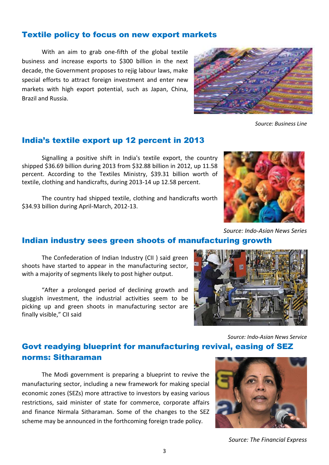## Textile policy to focus on new export markets

With an aim to grab one-fifth of the global textile business and increase exports to \$300 billion in the next decade, the Government proposes to rejig labour laws, make special efforts to attract foreign investment and enter new markets with high export potential, such as Japan, China, Brazil and Russia.

*Source: Business Line*

### India's textile export up 12 percent in 2013

Signalling a positive shift in India's textile export, the country shipped \$36.69 billion during 2013 from \$32.88 billion in 2012, up 11.58 percent. According to the Textiles Ministry, \$39.31 billion worth of textile, clothing and handicrafts, during 2013-14 up 12.58 percent.

The country had shipped textile, clothing and handicrafts worth \$34.93 billion during April-March, 2012-13.

with a majority of segments likely to post higher output.

finally visible," CII said



*Source: Indo-Asian News Service*

# Govt readying blueprint for manufacturing revival, easing of SEZ norms: Sitharaman

The Modi government is preparing a blueprint to revive the manufacturing sector, including a new framework for making special economic zones (SEZs) more attractive to investors by easing various restrictions, said minister of state for commerce, corporate affairs and finance Nirmala Sitharaman. Some of the changes to the SEZ scheme may be announced in the forthcoming foreign trade policy.

*Source: The Financial Express*



3



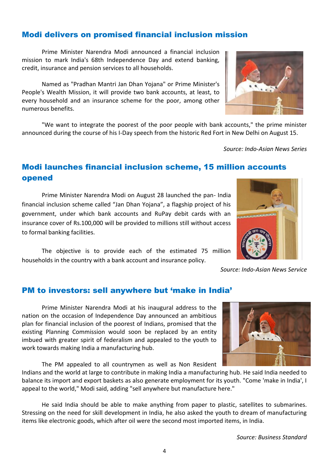# Modi delivers on promised financial inclusion mission

Prime Minister Narendra Modi announced a financial inclusion mission to mark India's 68th Independence Day and extend banking, credit, insurance and pension services to all households.

Named as "Pradhan Mantri Jan Dhan Yojana" or Prime Minister's People's Wealth Mission, it will provide two bank accounts, at least, to every household and an insurance scheme for the poor, among other numerous benefits.

"We want to integrate the poorest of the poor people with bank accounts," the prime minister announced during the course of his I-Day speech from the historic Red Fort in New Delhi on August 15.

*Source: Indo-Asian News Series* 

# Modi launches financial inclusion scheme, 15 million accounts opened

Prime Minister Narendra Modi on August 28 launched the pan- India financial inclusion scheme called "Jan Dhan Yojana", a flagship project of his government, under which bank accounts and RuPay debit cards with an insurance cover of Rs.100,000 will be provided to millions still without access to formal banking facilities.

The objective is to provide each of the estimated 75 million households in the country with a bank account and insurance policy.

### PM to investors: sell anywhere but 'make in India'

Prime Minister Narendra Modi at his inaugural address to the nation on the occasion of Independence Day announced an ambitious plan for financial inclusion of the poorest of Indians, promised that the existing Planning Commission would soon be replaced by an entity imbued with greater spirit of federalism and appealed to the youth to work towards making India a manufacturing hub.

The PM appealed to all countrymen as well as Non Resident

Indians and the world at large to contribute in making India a manufacturing hub. He said India needed to balance its import and export baskets as also generate employment for its youth. "Come 'make in India', I appeal to the world," Modi said, adding "sell anywhere but manufacture here."

He said India should be able to make anything from paper to plastic, satellites to submarines. Stressing on the need for skill development in India, he also asked the youth to dream of manufacturing items like electronic goods, which after oil were the second most imported items, in India.

*Source: Indo-Asian News Service*





4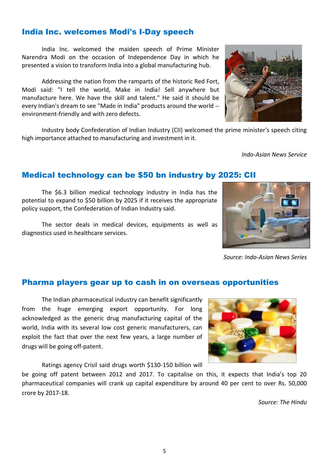## India Inc. welcomes Modi's I-Day speech

India Inc. welcomed the maiden speech of Prime Minister Narendra Modi on the occasion of Independence Day in which he presented a vision to transform India into a global manufacturing hub.

Addressing the nation from the ramparts of the historic Red Fort, Modi said: "I tell the world, Make in India! Sell anywhere but manufacture here. We have the skill and talent." He said it should be every Indian's dream to see "Made in India" products around the world - environment-friendly and with zero defects.

Industry body Confederation of Indian Industry (CII) welcomed the prime minister's speech citing high importance attached to manufacturing and investment in it.

*Indo-Asian News Service*

#### Medical technology can be \$50 bn industry by 2025: CII

The \$6.3 billion medical technology industry in India has the potential to expand to \$50 billion by 2025 if it receives the appropriate policy support, the Confederation of Indian Industry said.

The sector deals in medical devices, equipments as well as diagnostics used in healthcare services.

# Pharma players gear up to cash in on overseas opportunities

The Indian pharmaceutical industry can benefit significantly from the huge emerging export opportunity. For long acknowledged as the generic drug manufacturing capital of the world, India with its several low cost generic manufacturers, can exploit the fact that over the next few years, a large number of drugs will be going off-patent.

Ratings agency Crisil said drugs worth \$130-150 billion will

be going off patent between 2012 and 2017. To capitalise on this, it expects that India's top 20 pharmaceutical companies will crank up capital expenditure by around 40 per cent to over Rs. 50,000 crore by 2017-18.

*Source: The Hindu*





*Source: Indo-Asian News Series*

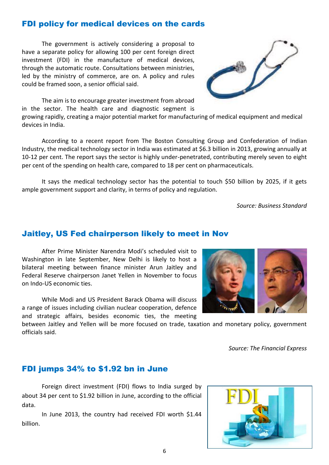The government is actively considering a proposal to

investment (FDI) in the manufacture of medical devices, through the automatic route. Consultations between ministries, led by the ministry of commerce, are on. A policy and rules could be framed soon, a senior official said.

have a separate policy for allowing 100 per cent foreign direct

FDI policy for medical devices on the cards



growing rapidly, creating a major potential market for manufacturing of medical equipment and medical devices in India.

According to a recent report from The Boston Consulting Group and Confederation of Indian Industry, the medical technology sector in India was estimated at \$6.3 billion in 2013, growing annually at 10-12 per cent. The report says the sector is highly under-penetrated, contributing merely seven to eight per cent of the spending on health care, compared to 18 per cent on pharmaceuticals.

It says the medical technology sector has the potential to touch \$50 billion by 2025, if it gets ample government support and clarity, in terms of policy and regulation.

*Source: Business Standard*

### Jaitley, US Fed chairperson likely to meet in Nov

After Prime Minister Narendra Modi's scheduled visit to Washington in late September, New Delhi is likely to host a bilateral meeting between finance minister Arun Jaitley and Federal Reserve chairperson Janet Yellen in November to focus on Indo-US economic ties.

While Modi and US President Barack Obama will discuss a range of issues including civilian nuclear cooperation, defence and strategic affairs, besides economic ties, the meeting

between Jaitley and Yellen will be more focused on trade, taxation and monetary policy, government officials said.

*Source: The Financial Express*

#### FDI jumps 34% to \$1.92 bn in June

Foreign direct investment (FDI) flows to India surged by about 34 per cent to \$1.92 billion in June, according to the official data.

In June 2013, the country had received FDI worth \$1.44 billion.



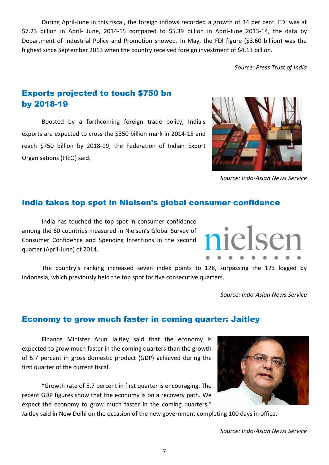During April-June in this fiscal, the foreign inflows recorded a growth of 34 per cent. FDI was at \$7.23 billion in April- June, 2014-15 compared to \$5.39 billion in April-June 2013-14, the data by Department of Industrial Policy and Promotion showed. In May, the FDI figure (\$3.60 billion) was the highest since September 2013 when the country received foreign investment of \$4.13 billion.

*Source: Press Trust of India*

# Exports projected to touch \$750 bn by 2018-19

Boosted by a forthcoming foreign trade policy, India's exports are expected to cross the \$350 billion mark in 2014-15 and reach \$750 billion by 2018-19, the Federation of Indian Export Organisations (FIEO) said.

#### *Source: Indo-Asian News Service*

 $1 \cap S$ 

### India takes top spot in Nielsen's global consumer confidence

India has touched the top spot in consumer confidence among the 60 countries measured in Nielsen's Global Survey of Consumer Confidence and Spending Intentions in the second quarter (April-June) of 2014.

The country's ranking increased seven index points to 128, surpassing the 123 logged by Indonesia, which previously held the top spot for five consecutive quarters.

#### Economy to grow much faster in coming quarter: Jaitley

Finance Minister Arun Jaitley said that the economy is expected to grow much faster in the coming quarters than the growth of 5.7 percent in gross domestic product (GDP) achieved during the first quarter of the current fiscal.

"Growth rate of 5.7 percent in first quarter is encouraging. The recent GDP figures show that the economy is on a recovery path. We expect the economy to grow much faster in the coming quarters,"

Jaitley said in New Delhi on the occasion of the new government completing 100 days in office.

7